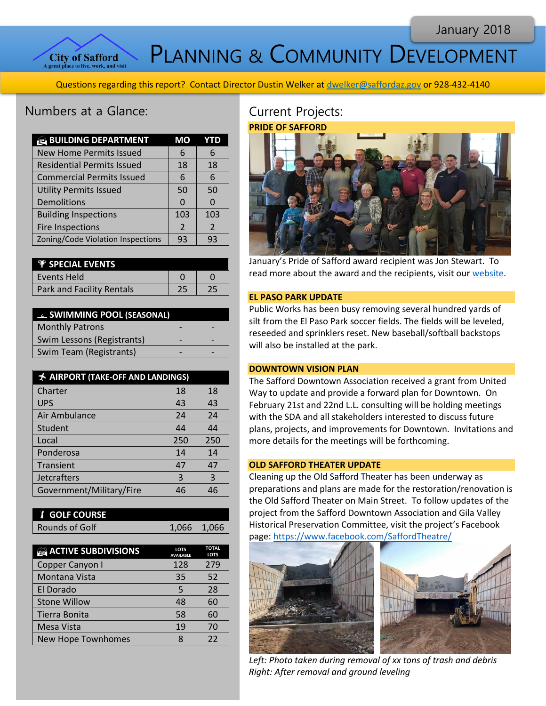

PLANNING & COMMUNITY DEVELOPMENT

Questions regarding this report? Contact Director Dustin Welker at [dwelker@saffordaz.gov](mailto:dwelker@saffordaz.gov) or 928-432-4140

# Numbers at a Glance:

| <b>BUILDING DEPARTMENT</b>        | МO            | YTD           |
|-----------------------------------|---------------|---------------|
| <b>New Home Permits Issued</b>    | 6             | 6             |
| <b>Residential Permits Issued</b> | 18            | 18            |
| <b>Commercial Permits Issued</b>  | 6             | 6             |
| <b>Utility Permits Issued</b>     | 50            | 50            |
| Demolitions                       | 0             | 0             |
| <b>Building Inspections</b>       | 103           | 103           |
| Fire Inspections                  | $\mathcal{P}$ | $\mathcal{P}$ |
| Zoning/Code Violation Inspections | 93            | 93            |

| <b><i>V</i></b> SPECIAL EVENTS   |  |
|----------------------------------|--|
| Events Held                      |  |
| <b>Park and Facility Rentals</b> |  |

| <b>EL SWIMMING POOL (SEASONAL)</b> |  |  |
|------------------------------------|--|--|
| <b>Monthly Patrons</b>             |  |  |
| Swim Lessons (Registrants)         |  |  |
| Swim Team (Registrants)            |  |  |

| <b>★ AIRPORT (TAKE-OFF AND LANDINGS)</b> |     |     |
|------------------------------------------|-----|-----|
| Charter                                  | 18  | 18  |
| <b>UPS</b>                               | 43  | 43  |
| Air Ambulance                            | 24  | 24  |
| Student                                  | 44  | 44  |
| Local                                    | 250 | 250 |
| Ponderosa                                | 14  | 14  |
| Transient                                | 47  | 47  |
| <b>Jetcrafters</b>                       | 3   | 3   |
| Government/Military/Fire                 | 46  | 46  |

| <b>T</b> GOLF COURSE |                 |  |
|----------------------|-----------------|--|
| Rounds of Golf       | $1,066$   1,066 |  |
|                      |                 |  |

| <b>ACTIVE SUBDIVISIONS</b> | <b>LOTS</b><br><b>AVAILABLE</b> | <b>TOTAL</b><br><b>LOTS</b> |
|----------------------------|---------------------------------|-----------------------------|
| Copper Canyon I            | 128                             | 279                         |
| Montana Vista              | 35                              | 52                          |
| El Dorado                  | 5                               | 28                          |
| <b>Stone Willow</b>        | 48                              | 60                          |
| Tierra Bonita              | 58                              | 60                          |
| Mesa Vista                 | 19                              | 70                          |
| <b>New Hope Townhomes</b>  |                                 | 22                          |

# Current Projects:



January's Pride of Safford award recipient was Jon Stewart. To read more about the award and the recipients, visit ou[r website.](http://www.cityofsafford.us/index.aspx?nid=288)

#### **EL PASO PARK UPDATE**

Public Works has been busy removing several hundred yards of silt from the El Paso Park soccer fields. The fields will be leveled, reseeded and sprinklers reset. New baseball/softball backstops will also be installed at the park.

## **DOWNTOWN VISION PLAN**

The Safford Downtown Association received a grant from United Way to update and provide a forward plan for Downtown. On February 21st and 22nd L.L. consulting will be holding meetings with the SDA and all stakeholders interested to discuss future plans, projects, and improvements for Downtown. Invitations and more details for the meetings will be forthcoming.

#### **OLD SAFFORD THEATER UPDATE**

Cleaning up the Old Safford Theater has been underway as preparations and plans are made for the restoration/renovation is the Old Safford Theater on Main Street. To follow updates of the project from the Safford Downtown Association and Gila Valley Historical Preservation Committee, visit the project's Facebook page[: https://www.facebook.com/SaffordTheatre/](https://www.facebook.com/SaffordTheatre/)



*Left: Photo taken during removal of xx tons of trash and debris Right: After removal and ground leveling*